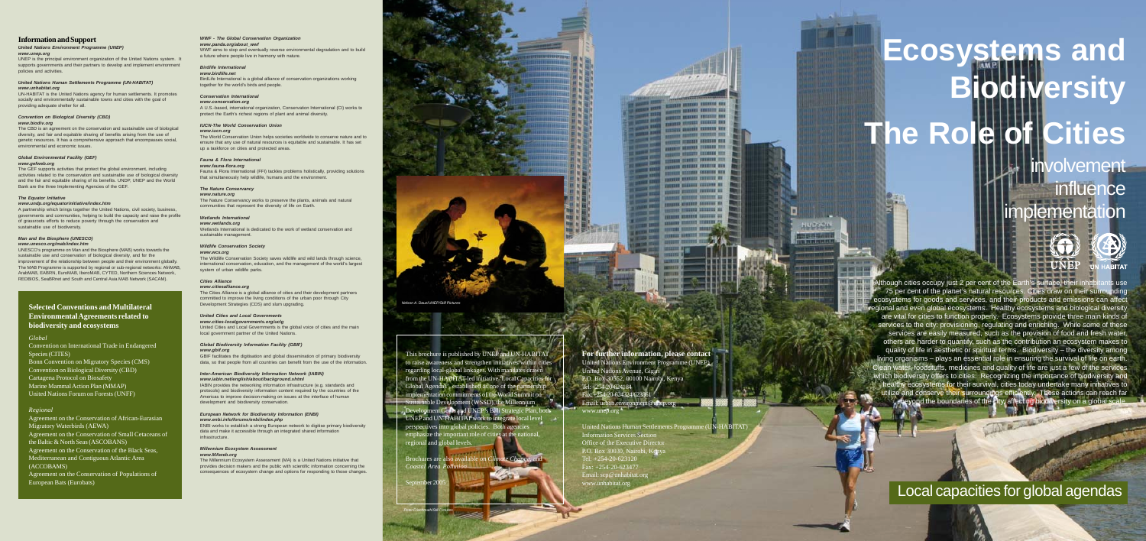# **Ecosystems and Biodiversity** The Role of *v*olvement **influence** implementation

Development Goals and UNEP's Bali Strategic Plan, both UNEP and UN-HABITAT work to integrate local level perspectives into global policies. Both agencies emphasize the important role of cities at the national, regional and global levels.

Brochures are also available *Coastal Area* Politics

September 2005



This brochure is published by UNEP and UN-HABITAT to raise awareness and strengthen initiatives within cities regarding local-global linkages. With mandates drawn from the UN-HABITAT-led initiative 'Local Capacities for Global Agendas', established as one of the partnership implementation commitments of the World Summit on Sustainable Development (WSSD), the Millennium



en and there are the series of

WHEN MORE BEEN IN PERSONAL PROPERTY AND THERE IS NOTED THE TAX **THE UNION WHEN THE FOR SHORT WHERE HELDER** OUTERS ASSESSED AND RESIDENCE. NAMES OFFICERS PERSONS NOT **CON MERCENE ENGINEERING** FOR RESERVE EXECUTE RESON

OWNERS DESIGNED SERVICE ST ON BELLEVE STREETS 22 **PERSONAL MUNICIPAL ANDREWS AN COUNT STREET SENSING NA NAMES AND TO DESCRIPTIONS OF STREET IN AN ABOVE SERVICE** 

**CONTRACTOR DESIGNATION STREET BREETS HISTS** 

ALCOHOL: DESCRIPTION CO.

**SERVICE** 

Hubach

**CONTRACTOR** 

and later part cars **WEIGHT** 

United Nations Human Settlements Programme (UN-HABITAT)

 $\mathbf{B}$ 

**BITAT** 

Information Services Section Office of the Executive Direct P.O. Box 30030, Nairobi, Kenya Tel: +254-20-623120  $Fax: +254-20-623477$ Email: scp@unhabitat.org www.unhabitat.org

Although cities occupy just 2 per cent of the Earth's surface, their inhabitants use 75 per cent of the planet's natural resources. Cities draw on their surrounding ecosystems for goods and services, and their products and emissions can affect regional and even global ecosystems. Healthy ecosystems and biological diversity are vital for cities to function properly. Ecosystems provide three main kinds of services to the city: provisioning, regulating and enriching. While some of these services are easily measured, such as the provision of food and fresh water, others are harder to quantify, such as the contribution an ecosystem makes to quality of life in aesthetic or spiritual terms. Biodiversity – the diversity among living organisms – plays an essential role in ensuring the survival of life on earth. Clean water, foodstuffs, medicines and quality of life are just a few of the services which biodiversity offers to cities. Recognizing the importance of biodiversity and healthy ecosystems for their survival, cities today undertake many initiatives to utilize and conserve their surroundings efficiently. These actions can reach far beyond the boundaries of the city, affecting biodiversity on a global scale.

Local capacities for global agendas

IABIN provides the networking information infrastructure (e.g. standards and protocols) and biodiversity information content required by the countries of the Americas to improve decision-making on issues at the interface of human development and biodiversity conservation

*Peter Frischmuth/Still Pictures*





# *WWF - The Global Conservation Organization*

#### *www.panda.org/about\_wwf*

WWF aims to stop and eventually reverse environmental degradation and to build a future where people live in harmony with nature.

# *Birdlife International*

*www.birdlife.net* BirdLife International is a global alliance of conservation organizations working together for the world's birds and people.

#### *Conservation International*

*www.conservation.org* A U.S.-based, international organization, Conservation International (CI) works to protect the Earth's richest regions of plant and animal diversity.

#### *IUCN-The World Conservation Union*

#### *www.iucn.org*

The World Conservation Union helps societies worldwide to conserve nature and to ensure that any use of natural resources is equitable and sustainable. It has set up a taskforce on cities and protected areas.

#### *Fauna & Flora International*

*www.fauna-flora.org* Fauna & Flora International (FFI) tackles problems holistically, providing solutions that simultaneously help wildlife, humans and the environment.

#### *The Nature Conservancy*

*www.nature.org* The Nature Conservancy works to preserve the plants, animals and natural communities that represent the diversity of life on Earth.

#### *Wetlands International*

*www.wetlands.org*

Wetlands International is dedicated to the work of wetland conservation and sustainable management.

#### *Wildlife Conservation Society*

*www.wcs.org* The Wildlife Conservation Society saves wildlife and wild lands through science,

international conservation, education, and the management of the world's largest system of urban wildlife parks.

#### *Cities Alliance www.citiesalliance.org*

The Cities Alliance is a global alliance of cities and their development partners committed to improve the living conditions of the urban poor through City Development Strategies (CDS) and slum upgrading.

#### *United Cities and Local Governments*

*www.cities-localgovernments.org/uclg* United Cities and Local Governments is the global voice of cities and the main local government partner of the United Nations.

#### *Global Biodiversity Information Facility (GBIF) www.gbif.org*

GBIF facilitates the digitisation and global dissemination of primary biodiversity data, so that people from all countries can benefit from the use of the information.

#### *Inter-American Biodiversity Information Network (IABIN) www.iabin.net/english/about/background.shtml*

#### *European Network for Biodiversity Information (ENBI) www.enbi.info/forums/enbi/index.php*

ENBI works to establish a strong European network to digitise primary biodiversity data and make it accessible through an integrated shared information infrastructure.

#### *Millennium Ecosystem Assessment www.MAweb.org*

The Millennium Ecosystem Assessment (MA) is a United Nations initiative that provides decision makers and the public with scientific information concerning the consequences of ecosystem change and options for responding to those changes.





# **Information and Support**

#### *United Nations Environment Programme (UNEP) www.unep.org*

UNEP is the principal environment organization of the United Nations system. It supports governments and their partners to develop and implement environment policies and activities.

#### *United Nations Human Settlements Programme (UN-HABITAT) www.unhabitat.org*

UN-HABITAT is the United Nations agency for human settlements. It promotes socially and environmentally sustainable towns and cities with the goal of providing adequate shelter for all.

# *Convention on Biological Diversity (CBD)*

### *www.biodiv.org*

The CBD is an agreement on the conservation and sustainable use of biological diversity, and fair and equitable sharing of benefits arising from the use of genetic resources. It has a comprehensive approach that encompasses social, environmental and economic issues.

#### *Global Environmental Facility (GEF) www.gefweb.org*

The GEF supports activities that protect the global environment, including activities related to the conservation and sustainable use of biological diversity and the fair and equitable sharing of its benefits. UNDP, UNEP and the World Bank are the three Implementing Agencies of the GEF.

#### *The Equator Initiative*

*www.undp.org/equatorinitiative/index.htm*

A partnership which brings together the United Nations, civil society, business, governments and communities, helping to build the capacity and raise the profile of grassroots efforts to reduce poverty through the conservation and sustainable use of biodiversity.

# *Man and the Biosphere (UNESCO)*

*www.unesco.org/mab/index.htm*

UNESCO's programme on Man and the Biosphere (MAB) works towards the sustainable use and conservation of biological diversity, and for the improvement of the relationship between people and their environment globally. The MAB Programme is supported by regional or sub-regional networks: AfriMAB, ArabMAB, EABRN, EuroMAB, IberoMAB, CYTED, Northern Sciences Network, REDBIOS, SeaBRnet and South and Central Asia MAB Network (SACAM).

# **Selected Conventions and Multilateral Environmental Agreements related to biodiversity and ecosystems**

# *Global*

Convention on International Trade in Endangered Species (CITES)

Bonn Convention on Migratory Species (CMS) Convention on Biological Diversity (CBD) Cartagena Protocol on Biosafety Marine Mammal Action Plan (MMAP) United Nations Forum on Forests (UNFF)

# *Regional*

Agreement on the Conservation of African-Eurasian Migratory Waterbirds (AEWA) Agreement on the Conservation of Small Cetaceans of the Baltic & North Seas (ASCOBANS) Agreement on the Conservation of the Black Seas, Mediterranean and Contiguous Atlantic Area (ACCOBAMS) Agreement on the Conservation of Populations of

European Bats (Eurobats)

*Nelson A. Dauz/UNEP/Still Pictures*